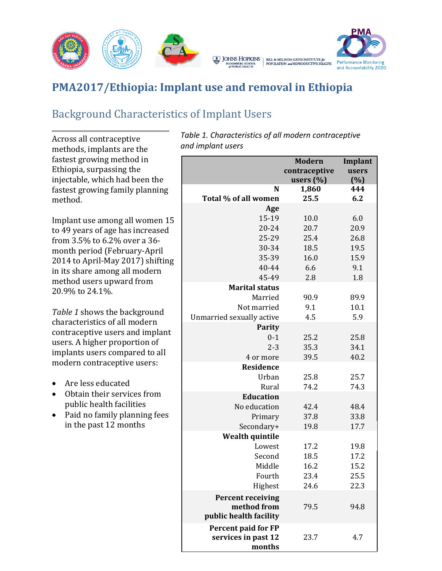



# **PMA2017/Ethiopia: Implant use and removal in Ethiopia**

JOHNS HOPKINS

**BLOOMBERG SCHOOL** 

## Background Characteristics of Implant Users

Across all contraceptive methods, implants are the fastest growing method in Ethiopia, surpassing the injectable, which had been the fastest growing family planning method.

Implant use among all women 15 to 49 years of age has increased from 3.5% to 6.2% over a 36 month period (February-April 2014 to April-May 2017) shifting in its share among all modern method users upward from 20.9% to 24.1%.

*Table 1* shows the background characteristics of all modern contraceptive users and implant users. A higher proportion of implants users compared to all modern contraceptive users:

- Are less educated
- Obtain their services from public health facilities
- Paid no family planning fees in the past 12 months

*Table 1. Characteristics of all modern contraceptive and implant users*

|                           | <b>Modern</b><br>contraceptive<br>users $(\%)$ | Implant<br>users<br>(%) |
|---------------------------|------------------------------------------------|-------------------------|
| N<br>Total % of all women | 1,860<br>25.5                                  | 444<br>6.2              |
| Age                       |                                                |                         |
| 15-19                     | 10.0                                           | 6.0                     |
| 20-24                     | 20.7                                           | 20.9                    |
| 25-29                     | 25.4                                           | 26.8                    |
| 30-34                     | 18.5                                           | 19.5                    |
| 35-39                     | 16.0                                           | 15.9                    |
| 40-44                     | 6.6                                            | 9.1                     |
| 45-49                     | 2.8                                            | 1.8                     |
| <b>Marital status</b>     |                                                |                         |
| Married                   | 90.9                                           | 89.9                    |
| Not married               | 9.1                                            | 10.1                    |
| Unmarried sexually active | 4.5                                            | 5.9                     |
| <b>Parity</b>             |                                                |                         |
| $0 - 1$                   | 25.2                                           | 25.8                    |
| $2 - 3$                   | 35.3                                           | 34.1                    |
| 4 or more                 | 39.5                                           | 40.2                    |
| <b>Residence</b>          |                                                |                         |
| Urban                     | 25.8                                           | 25.7                    |
| Rural                     | 74.2                                           | 74.3                    |
| <b>Education</b>          |                                                |                         |
| No education              | 42.4                                           | 48.4                    |
| Primary                   | 37.8                                           | 33.8                    |
| Secondary+                | 19.8                                           | 17.7                    |
| <b>Wealth quintile</b>    |                                                |                         |
| Lowest                    | 17.2                                           | 19.8                    |
| Second                    | 18.5                                           | 17.2                    |
| Middle                    | 16.2                                           | 15.2                    |
| Fourth                    | 23.4                                           | 25.5                    |
| Highest                   | 24.6                                           | 22.3                    |
| <b>Percent receiving</b>  |                                                |                         |
| method from               | 79.5                                           | 94.8                    |
| public health facility    |                                                |                         |
| Percent paid for FP       |                                                |                         |
| services in past 12       | 23.7                                           | 4.7                     |
| months                    |                                                |                         |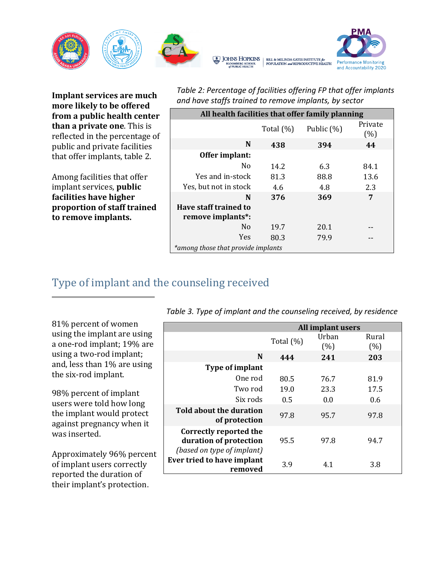

**Implant services are much more likely to be offered from a public health center than a private one**. This is reflected in the percentage of public and private facilities that offer implants, table 2.

Among facilities that offer implant services, **public facilities have higher proportion of staff trained to remove implants.**

| Table 2: Percentage of facilities offering FP that offer implants |
|-------------------------------------------------------------------|
| and have staffs trained to remove implants, by sector             |

| All health facilities that offer family planning |              |            |                |  |
|--------------------------------------------------|--------------|------------|----------------|--|
|                                                  | Total $(\%)$ | Public (%) | Private<br>(%) |  |
| N                                                | 438          | 394        | 44             |  |
| Offer implant:                                   |              |            |                |  |
| N <sub>0</sub>                                   | 14.2         | 6.3        | 84.1           |  |
| Yes and in-stock                                 | 81.3         | 88.8       | 13.6           |  |
| Yes, but not in stock                            | 4.6          | 4.8        | 2.3            |  |
| N                                                | 376          | 369        | 7              |  |
| Have staff trained to                            |              |            |                |  |
| remove implants*:                                |              |            |                |  |
| N <sub>0</sub>                                   | 19.7         | 20.1       |                |  |
| Yes                                              | 80.3         | 79.9       |                |  |
| *among those that provide implants               |              |            |                |  |

### Type of implant and the counseling received

*Table 3. Type of implant and the counseling received, by residence*

81% percent of women using the implant are using a one-rod implant; 19% are using a two-rod implant; and, less than 1% are using the six-rod implant.

98% percent of implant users were told how long the implant would protect against pregnancy when it was inserted.

Approximately 96% percent of implant users correctly reported the duration of their implant's protection.

|                                                                                       | All implant users |              |               |
|---------------------------------------------------------------------------------------|-------------------|--------------|---------------|
|                                                                                       | Total $(\%)$      | Urban<br>(%) | Rural<br>(% ) |
| N                                                                                     | 444               | 241          | 203           |
| Type of implant                                                                       |                   |              |               |
| One rod                                                                               | 80.5              | 76.7         | 81.9          |
| Two rod                                                                               | 19.0              | 23.3         | 17.5          |
| Six rods                                                                              | 0.5               | 0.0          | 0.6           |
| Told about the duration<br>of protection                                              | 97.8              | 95.7         | 97.8          |
| <b>Correctly reported the</b><br>duration of protection<br>(based on type of implant) | 95.5              | 97.8         | 94.7          |
| Ever tried to have implant<br>removed                                                 | 3.9               | 4.1          | 3.8           |